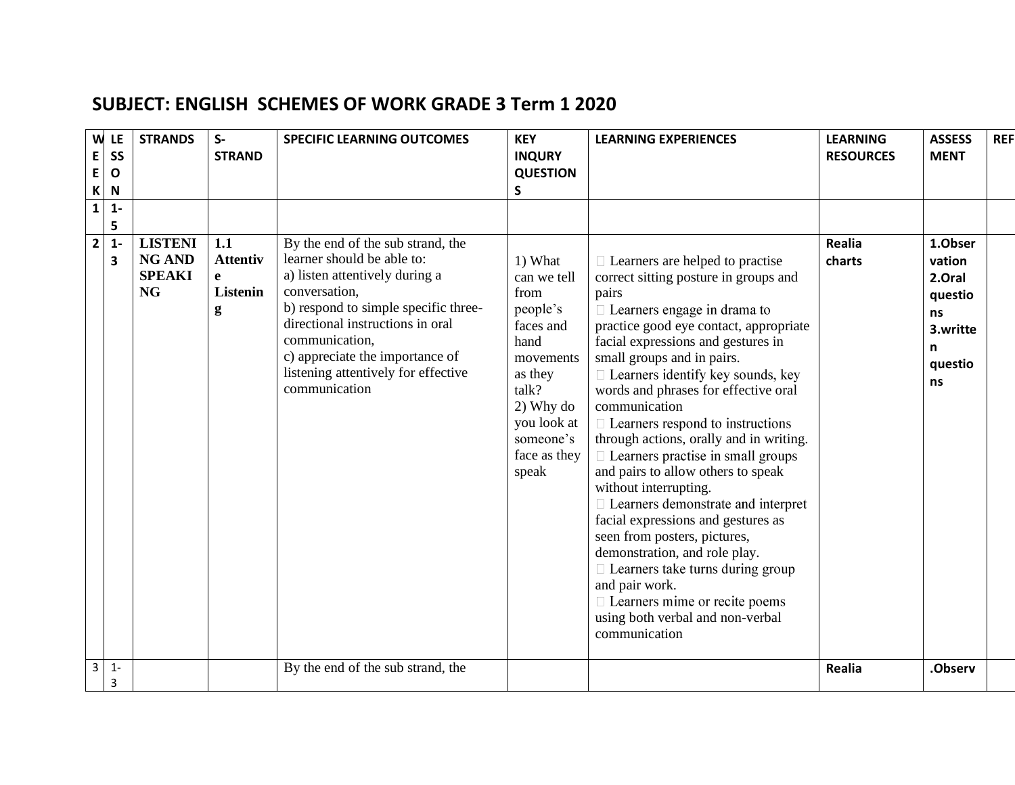| W<br>E<br>E<br>K | LE<br>SS<br>$\mathbf{o}$<br>$\mathsf{N}$ | <b>STRANDS</b>                                                | $S-$<br><b>STRAND</b>                               | <b>SPECIFIC LEARNING OUTCOMES</b>                                                                                                                                                                                                                                                                           | <b>KEY</b><br><b>INQURY</b><br><b>QUESTION</b><br>S                                                                                                                | <b>LEARNING EXPERIENCES</b>                                                                                                                                                                                                                                                                                                                                                                                                                                                                                                                                                                                                                                                                                                                                                                                                                                 | <b>LEARNING</b><br><b>RESOURCES</b> | <b>ASSESS</b><br><b>MENT</b>                                                   | <b>REF</b> |
|------------------|------------------------------------------|---------------------------------------------------------------|-----------------------------------------------------|-------------------------------------------------------------------------------------------------------------------------------------------------------------------------------------------------------------------------------------------------------------------------------------------------------------|--------------------------------------------------------------------------------------------------------------------------------------------------------------------|-------------------------------------------------------------------------------------------------------------------------------------------------------------------------------------------------------------------------------------------------------------------------------------------------------------------------------------------------------------------------------------------------------------------------------------------------------------------------------------------------------------------------------------------------------------------------------------------------------------------------------------------------------------------------------------------------------------------------------------------------------------------------------------------------------------------------------------------------------------|-------------------------------------|--------------------------------------------------------------------------------|------------|
| $\mathbf{1}$     | $1 -$<br>5                               |                                                               |                                                     |                                                                                                                                                                                                                                                                                                             |                                                                                                                                                                    |                                                                                                                                                                                                                                                                                                                                                                                                                                                                                                                                                                                                                                                                                                                                                                                                                                                             |                                     |                                                                                |            |
| $\mathbf{2}$     | $1 -$<br>3                               | <b>LISTENI</b><br><b>NG AND</b><br><b>SPEAKI</b><br><b>NG</b> | 1.1<br><b>Attentiv</b><br>e<br><b>Listenin</b><br>g | By the end of the sub strand, the<br>learner should be able to:<br>a) listen attentively during a<br>conversation,<br>b) respond to simple specific three-<br>directional instructions in oral<br>communication,<br>c) appreciate the importance of<br>listening attentively for effective<br>communication | 1) What<br>can we tell<br>from<br>people's<br>faces and<br>hand<br>movements<br>as they<br>talk?<br>2) Why do<br>you look at<br>someone's<br>face as they<br>speak | $\Box$ Learners are helped to practise<br>correct sitting posture in groups and<br>pairs<br>$\Box$ Learners engage in drama to<br>practice good eye contact, appropriate<br>facial expressions and gestures in<br>small groups and in pairs.<br>$\Box$ Learners identify key sounds, key<br>words and phrases for effective oral<br>communication<br>$\Box$ Learners respond to instructions<br>through actions, orally and in writing.<br>$\Box$ Learners practise in small groups<br>and pairs to allow others to speak<br>without interrupting.<br>$\Box$ Learners demonstrate and interpret<br>facial expressions and gestures as<br>seen from posters, pictures,<br>demonstration, and role play.<br>$\Box$ Learners take turns during group<br>and pair work.<br>□ Learners mime or recite poems<br>using both verbal and non-verbal<br>communication | Realia<br>charts                    | 1.Obser<br>vation<br>2.Oral<br>questio<br>ns<br>3.writte<br>n<br>questio<br>ns |            |
| $\mathbf{3}$     | $1 -$<br>3                               |                                                               |                                                     | By the end of the sub strand, the                                                                                                                                                                                                                                                                           |                                                                                                                                                                    |                                                                                                                                                                                                                                                                                                                                                                                                                                                                                                                                                                                                                                                                                                                                                                                                                                                             | <b>Realia</b>                       | .Observ                                                                        |            |

## **SUBJECT: ENGLISH SCHEMES OF WORK GRADE 3 Term 1 2020**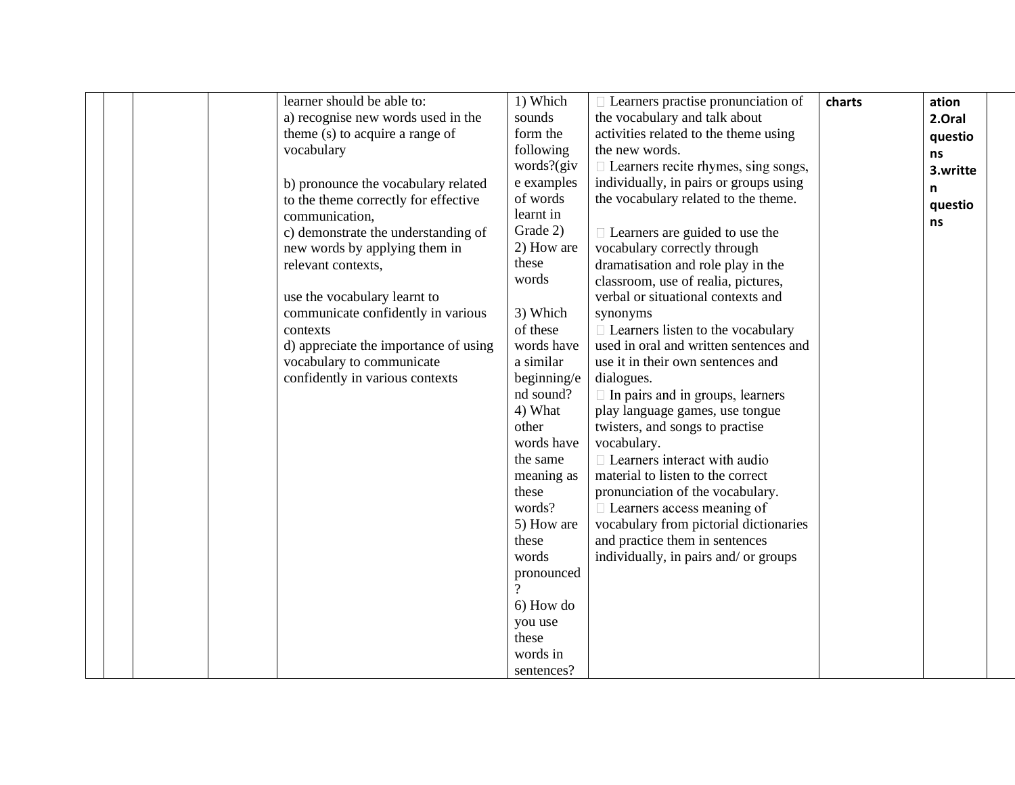|  | learner should be able to:            | 1) Which       | $\Box$ Learners practise pronunciation of  | charts | ation    |
|--|---------------------------------------|----------------|--------------------------------------------|--------|----------|
|  | a) recognise new words used in the    | sounds         | the vocabulary and talk about              |        | 2.Oral   |
|  | theme (s) to acquire a range of       | form the       | activities related to the theme using      |        | questio  |
|  | vocabulary                            | following      | the new words.                             |        | ns       |
|  |                                       | words? $(giv)$ | $\Box$ Learners recite rhymes, sing songs, |        | 3.writte |
|  | b) pronounce the vocabulary related   | e examples     | individually, in pairs or groups using     |        | n        |
|  | to the theme correctly for effective  | of words       | the vocabulary related to the theme.       |        |          |
|  | communication,                        | learnt in      |                                            |        | questio  |
|  | c) demonstrate the understanding of   | Grade 2)       | $\Box$ Learners are guided to use the      |        | ns       |
|  | new words by applying them in         | 2) How are     | vocabulary correctly through               |        |          |
|  | relevant contexts,                    | these          | dramatisation and role play in the         |        |          |
|  |                                       | words          | classroom, use of realia, pictures,        |        |          |
|  | use the vocabulary learnt to          |                | verbal or situational contexts and         |        |          |
|  | communicate confidently in various    | 3) Which       | synonyms                                   |        |          |
|  | contexts                              | of these       | $\Box$ Learners listen to the vocabulary   |        |          |
|  | d) appreciate the importance of using | words have     | used in oral and written sentences and     |        |          |
|  | vocabulary to communicate             | a similar      | use it in their own sentences and          |        |          |
|  | confidently in various contexts       | beginning/e    | dialogues.                                 |        |          |
|  |                                       | nd sound?      | $\Box$ In pairs and in groups, learners    |        |          |
|  |                                       | 4) What        | play language games, use tongue            |        |          |
|  |                                       | other          | twisters, and songs to practise            |        |          |
|  |                                       | words have     | vocabulary.                                |        |          |
|  |                                       | the same       | $\Box$ Learners interact with audio        |        |          |
|  |                                       | meaning as     | material to listen to the correct          |        |          |
|  |                                       | these          | pronunciation of the vocabulary.           |        |          |
|  |                                       | words?         | $\Box$ Learners access meaning of          |        |          |
|  |                                       | 5) How are     | vocabulary from pictorial dictionaries     |        |          |
|  |                                       | these          | and practice them in sentences             |        |          |
|  |                                       | words          | individually, in pairs and/ or groups      |        |          |
|  |                                       | pronounced     |                                            |        |          |
|  |                                       | $\gamma$       |                                            |        |          |
|  |                                       | 6) How do      |                                            |        |          |
|  |                                       | you use        |                                            |        |          |
|  |                                       | these          |                                            |        |          |
|  |                                       | words in       |                                            |        |          |
|  |                                       | sentences?     |                                            |        |          |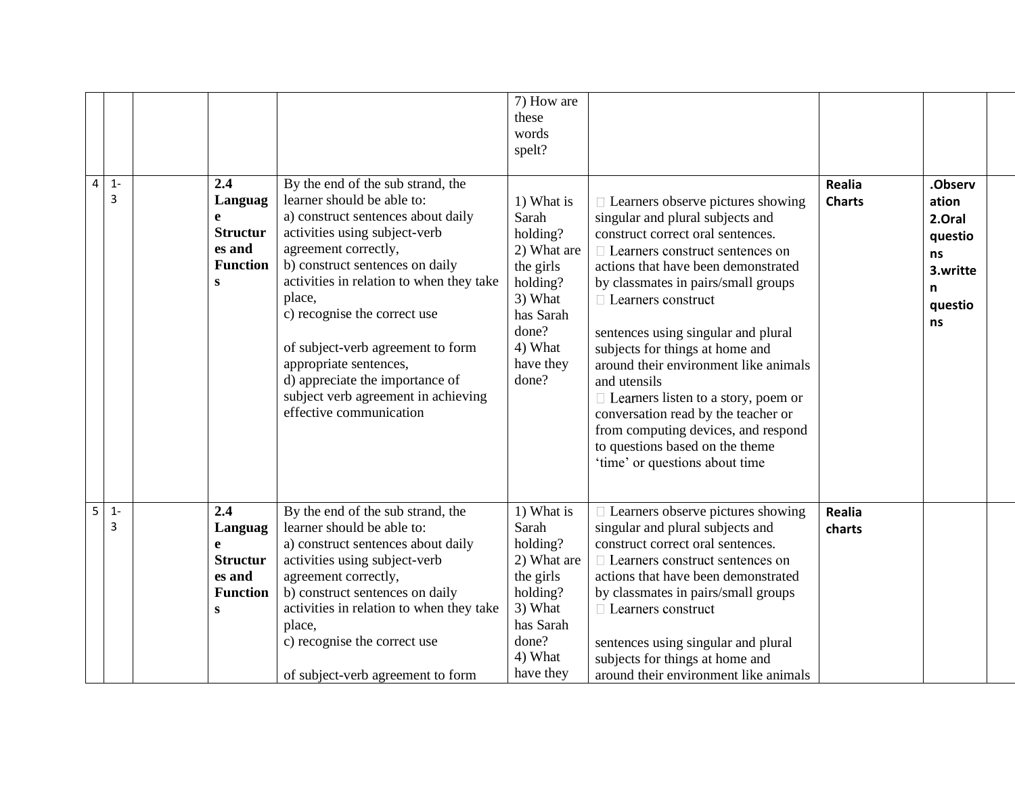| By the end of the sub strand, the<br>2.4<br>Realia<br>4<br>$1 -$<br>3<br>Languag<br>learner should be able to:<br>1) What is<br>$\Box$ Learners observe pictures showing<br><b>Charts</b><br>a) construct sentences about daily<br>Sarah<br>e<br>singular and plural subjects and<br><b>Structur</b><br>activities using subject-verb<br>holding?<br>construct correct oral sentences.<br>agreement correctly,<br>es and<br>2) What are<br>$\Box$ Learners construct sentences on<br><b>Function</b><br>b) construct sentences on daily<br>the girls<br>actions that have been demonstrated<br>activities in relation to when they take<br>holding?<br>by classmates in pairs/small groups<br>S<br>place,<br>3) What<br>$\Box$ Learners construct<br>c) recognise the correct use<br>has Sarah<br>done?<br>sentences using singular and plural<br>4) What<br>of subject-verb agreement to form<br>subjects for things at home and<br>appropriate sentences,<br>have they<br>around their environment like animals<br>d) appreciate the importance of<br>done?<br>and utensils<br>subject verb agreement in achieving<br>$\Box$ Learners listen to a story, poem or<br>effective communication<br>conversation read by the teacher or<br>from computing devices, and respond<br>to questions based on the theme<br>'time' or questions about time | .Observ<br>ation<br>2.Oral<br>questio<br>ns<br>3.writte<br>n<br>questio<br>ns |
|--------------------------------------------------------------------------------------------------------------------------------------------------------------------------------------------------------------------------------------------------------------------------------------------------------------------------------------------------------------------------------------------------------------------------------------------------------------------------------------------------------------------------------------------------------------------------------------------------------------------------------------------------------------------------------------------------------------------------------------------------------------------------------------------------------------------------------------------------------------------------------------------------------------------------------------------------------------------------------------------------------------------------------------------------------------------------------------------------------------------------------------------------------------------------------------------------------------------------------------------------------------------------------------------------------------------------------------------------|-------------------------------------------------------------------------------|
| 2.4<br>1) What is<br>By the end of the sub strand, the<br>5<br>$1 -$<br>$\Box$ Learners observe pictures showing<br><b>Realia</b>                                                                                                                                                                                                                                                                                                                                                                                                                                                                                                                                                                                                                                                                                                                                                                                                                                                                                                                                                                                                                                                                                                                                                                                                                |                                                                               |
| Sarah<br>learner should be able to:<br>singular and plural subjects and<br>3<br>Languag<br>charts<br>holding?<br>construct correct oral sentences.<br>a) construct sentences about daily<br>e                                                                                                                                                                                                                                                                                                                                                                                                                                                                                                                                                                                                                                                                                                                                                                                                                                                                                                                                                                                                                                                                                                                                                    |                                                                               |
| <b>Structur</b><br>2) What are<br>activities using subject-verb<br>$\Box$ Learners construct sentences on                                                                                                                                                                                                                                                                                                                                                                                                                                                                                                                                                                                                                                                                                                                                                                                                                                                                                                                                                                                                                                                                                                                                                                                                                                        |                                                                               |
| the girls<br>agreement correctly,<br>actions that have been demonstrated<br>es and                                                                                                                                                                                                                                                                                                                                                                                                                                                                                                                                                                                                                                                                                                                                                                                                                                                                                                                                                                                                                                                                                                                                                                                                                                                               |                                                                               |
| b) construct sentences on daily<br>holding?<br>by classmates in pairs/small groups<br><b>Function</b>                                                                                                                                                                                                                                                                                                                                                                                                                                                                                                                                                                                                                                                                                                                                                                                                                                                                                                                                                                                                                                                                                                                                                                                                                                            |                                                                               |
| activities in relation to when they take<br>3) What<br>$\Box$ Learners construct<br>S                                                                                                                                                                                                                                                                                                                                                                                                                                                                                                                                                                                                                                                                                                                                                                                                                                                                                                                                                                                                                                                                                                                                                                                                                                                            |                                                                               |
| has Sarah<br>place,<br>done?<br>c) recognise the correct use                                                                                                                                                                                                                                                                                                                                                                                                                                                                                                                                                                                                                                                                                                                                                                                                                                                                                                                                                                                                                                                                                                                                                                                                                                                                                     |                                                                               |
| sentences using singular and plural<br>4) What<br>subjects for things at home and                                                                                                                                                                                                                                                                                                                                                                                                                                                                                                                                                                                                                                                                                                                                                                                                                                                                                                                                                                                                                                                                                                                                                                                                                                                                |                                                                               |
| have they<br>around their environment like animals<br>of subject-verb agreement to form                                                                                                                                                                                                                                                                                                                                                                                                                                                                                                                                                                                                                                                                                                                                                                                                                                                                                                                                                                                                                                                                                                                                                                                                                                                          |                                                                               |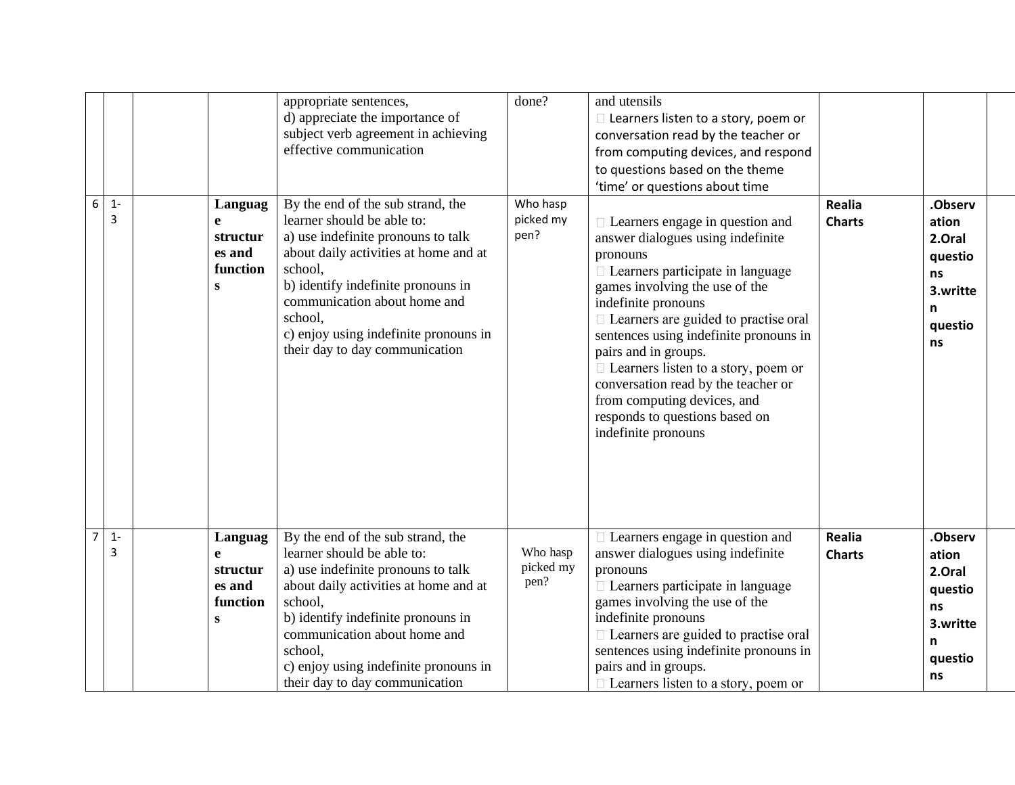| $\boldsymbol{6}$ | $1 -$<br>3 | Languag<br>e<br>structur<br>es and<br>function<br>S            | appropriate sentences,<br>d) appreciate the importance of<br>subject verb agreement in achieving<br>effective communication<br>By the end of the sub strand, the<br>learner should be able to:<br>a) use indefinite pronouns to talk<br>about daily activities at home and at<br>school,<br>b) identify indefinite pronouns in<br>communication about home and<br>school,<br>c) enjoy using indefinite pronouns in<br>their day to day communication | done?<br>Who hasp<br>picked my<br>pen? | and utensils<br>$\Box$ Learners listen to a story, poem or<br>conversation read by the teacher or<br>from computing devices, and respond<br>to questions based on the theme<br>'time' or questions about time<br>$\Box$ Learners engage in question and<br>answer dialogues using indefinite<br>pronouns<br>$\Box$ Learners participate in language<br>games involving the use of the<br>indefinite pronouns<br>$\Box$ Learners are guided to practise oral<br>sentences using indefinite pronouns in<br>pairs and in groups.<br>$\Box$ Learners listen to a story, poem or<br>conversation read by the teacher or<br>from computing devices, and<br>responds to questions based on<br>indefinite pronouns | <b>Realia</b><br><b>Charts</b> | .Observ<br>ation<br>2.Oral<br>questio<br>ns<br>3.writte<br>n<br>questio<br>ns |
|------------------|------------|----------------------------------------------------------------|------------------------------------------------------------------------------------------------------------------------------------------------------------------------------------------------------------------------------------------------------------------------------------------------------------------------------------------------------------------------------------------------------------------------------------------------------|----------------------------------------|------------------------------------------------------------------------------------------------------------------------------------------------------------------------------------------------------------------------------------------------------------------------------------------------------------------------------------------------------------------------------------------------------------------------------------------------------------------------------------------------------------------------------------------------------------------------------------------------------------------------------------------------------------------------------------------------------------|--------------------------------|-------------------------------------------------------------------------------|
| $\overline{7}$   | $1 -$<br>3 | Languag<br>$\mathbf{e}$<br>structur<br>es and<br>function<br>S | By the end of the sub strand, the<br>learner should be able to:<br>a) use indefinite pronouns to talk<br>about daily activities at home and at<br>school,<br>b) identify indefinite pronouns in<br>communication about home and<br>school,<br>c) enjoy using indefinite pronouns in<br>their day to day communication                                                                                                                                | Who hasp<br>picked my<br>pen?          | $\Box$ Learners engage in question and<br>answer dialogues using indefinite<br>pronouns<br>$\Box$ Learners participate in language<br>games involving the use of the<br>indefinite pronouns<br>□ Learners are guided to practise oral<br>sentences using indefinite pronouns in<br>pairs and in groups.<br>□ Learners listen to a story, poem or                                                                                                                                                                                                                                                                                                                                                           | <b>Realia</b><br><b>Charts</b> | .Observ<br>ation<br>2.Oral<br>questio<br>ns<br>3.writte<br>n<br>questio<br>ns |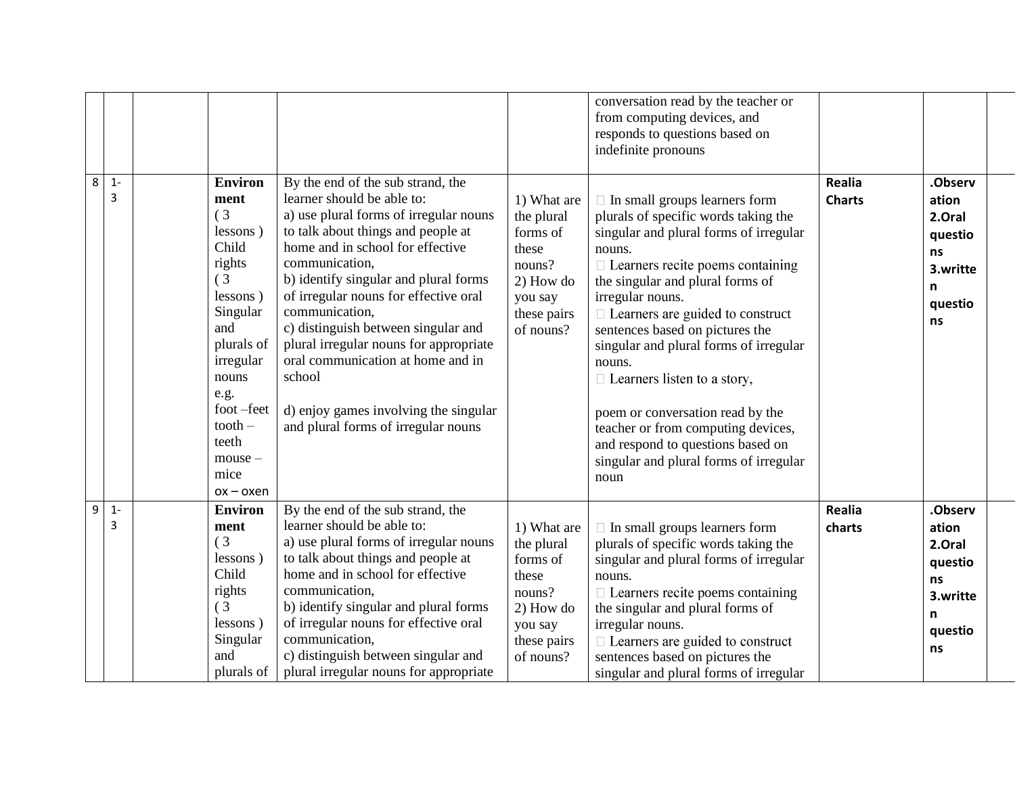| 8 | $1 -$<br>3 | <b>Environ</b><br>ment<br>(3)<br>lessons)<br>Child<br>rights<br>(3)<br>lessons)<br>Singular<br>and<br>plurals of<br>irregular<br>nouns<br>e.g.<br>foot-feet<br>$tooth -$<br>teeth<br>$mouse -$<br>mice<br>ox – oxen | By the end of the sub strand, the<br>learner should be able to:<br>a) use plural forms of irregular nouns<br>to talk about things and people at<br>home and in school for effective<br>communication,<br>b) identify singular and plural forms<br>of irregular nouns for effective oral<br>communication,<br>c) distinguish between singular and<br>plural irregular nouns for appropriate<br>oral communication at home and in<br>school<br>d) enjoy games involving the singular<br>and plural forms of irregular nouns | 1) What are<br>the plural<br>forms of<br>these<br>nouns?<br>2) How do<br>you say<br>these pairs<br>of nouns? | conversation read by the teacher or<br>from computing devices, and<br>responds to questions based on<br>indefinite pronouns<br>$\Box$ In small groups learners form<br>plurals of specific words taking the<br>singular and plural forms of irregular<br>nouns.<br>$\Box$ Learners recite poems containing<br>the singular and plural forms of<br>irregular nouns.<br>$\Box$ Learners are guided to construct<br>sentences based on pictures the<br>singular and plural forms of irregular<br>nouns.<br>$\Box$ Learners listen to a story,<br>poem or conversation read by the<br>teacher or from computing devices,<br>and respond to questions based on<br>singular and plural forms of irregular<br>noun | Realia<br><b>Charts</b> | .Observ<br>ation<br>2.Oral<br>questio<br>ns<br>3.writte<br>n<br>questio<br>ns |
|---|------------|---------------------------------------------------------------------------------------------------------------------------------------------------------------------------------------------------------------------|---------------------------------------------------------------------------------------------------------------------------------------------------------------------------------------------------------------------------------------------------------------------------------------------------------------------------------------------------------------------------------------------------------------------------------------------------------------------------------------------------------------------------|--------------------------------------------------------------------------------------------------------------|-------------------------------------------------------------------------------------------------------------------------------------------------------------------------------------------------------------------------------------------------------------------------------------------------------------------------------------------------------------------------------------------------------------------------------------------------------------------------------------------------------------------------------------------------------------------------------------------------------------------------------------------------------------------------------------------------------------|-------------------------|-------------------------------------------------------------------------------|
| 9 | $1 -$<br>3 | <b>Environ</b><br>ment<br>(3)<br>lessons)<br>Child<br>rights<br>(3)<br>lessons)<br>Singular<br>and<br>plurals of                                                                                                    | By the end of the sub strand, the<br>learner should be able to:<br>a) use plural forms of irregular nouns<br>to talk about things and people at<br>home and in school for effective<br>communication,<br>b) identify singular and plural forms<br>of irregular nouns for effective oral<br>communication,<br>c) distinguish between singular and<br>plural irregular nouns for appropriate                                                                                                                                | 1) What are<br>the plural<br>forms of<br>these<br>nouns?<br>2) How do<br>you say<br>these pairs<br>of nouns? | $\Box$ In small groups learners form<br>plurals of specific words taking the<br>singular and plural forms of irregular<br>nouns.<br>$\Box$ Learners recite poems containing<br>the singular and plural forms of<br>irregular nouns.<br>$\Box$ Learners are guided to construct<br>sentences based on pictures the<br>singular and plural forms of irregular                                                                                                                                                                                                                                                                                                                                                 | Realia<br>charts        | .Observ<br>ation<br>2.Oral<br>questio<br>ns<br>3.writte<br>n<br>questio<br>ns |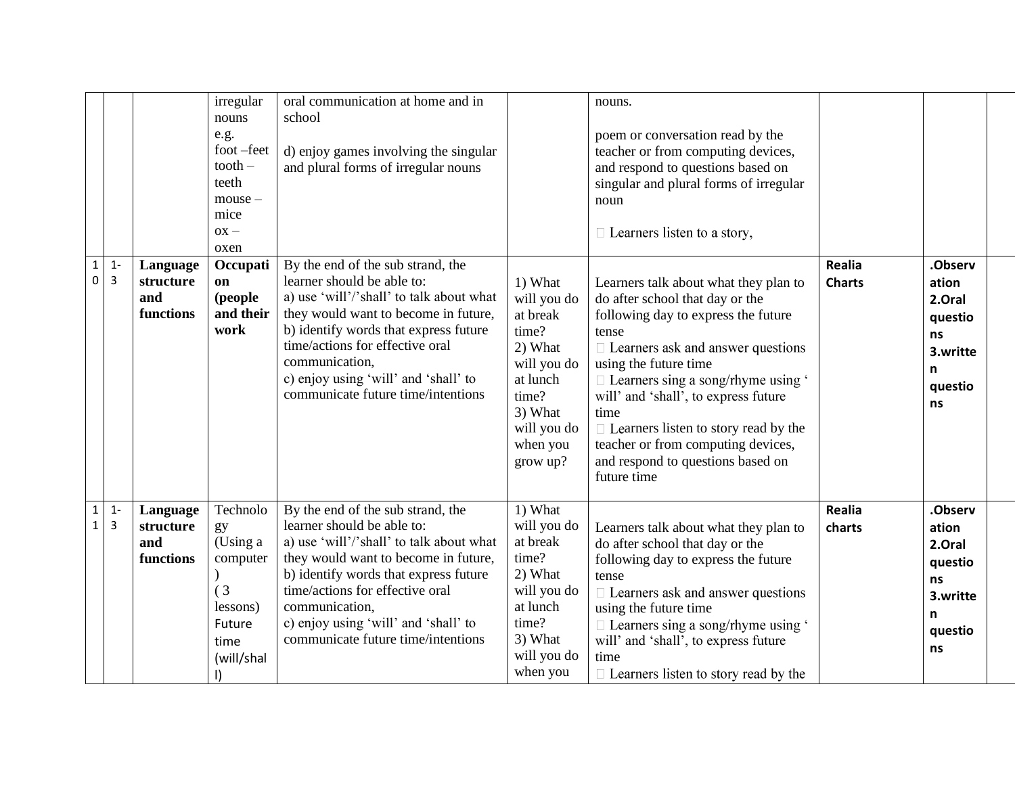|                              |                         |                                           | irregular<br>nouns<br>e.g.<br>foot-feet<br>$tooth -$<br>teeth<br>$mouse -$<br>mice<br>$OX -$<br>oxen | oral communication at home and in<br>school<br>d) enjoy games involving the singular<br>and plural forms of irregular nouns                                                                                                                                                                                                     |                                                                                                                                              | nouns.<br>poem or conversation read by the<br>teacher or from computing devices,<br>and respond to questions based on<br>singular and plural forms of irregular<br>noun<br>$\Box$ Learners listen to a story,                                                                                                                                                                                                                       |                                |                                                                               |
|------------------------------|-------------------------|-------------------------------------------|------------------------------------------------------------------------------------------------------|---------------------------------------------------------------------------------------------------------------------------------------------------------------------------------------------------------------------------------------------------------------------------------------------------------------------------------|----------------------------------------------------------------------------------------------------------------------------------------------|-------------------------------------------------------------------------------------------------------------------------------------------------------------------------------------------------------------------------------------------------------------------------------------------------------------------------------------------------------------------------------------------------------------------------------------|--------------------------------|-------------------------------------------------------------------------------|
| $\mathbf{1}$<br>0            | $1 -$<br>$\overline{3}$ | Language<br>structure<br>and<br>functions | Occupati<br>on<br>(people<br>and their<br>work                                                       | By the end of the sub strand, the<br>learner should be able to:<br>a) use 'will'/'shall' to talk about what<br>they would want to become in future,<br>b) identify words that express future<br>time/actions for effective oral<br>communication,<br>c) enjoy using 'will' and 'shall' to<br>communicate future time/intentions | 1) What<br>will you do<br>at break<br>time?<br>2) What<br>will you do<br>at lunch<br>time?<br>3) What<br>will you do<br>when you<br>grow up? | Learners talk about what they plan to<br>do after school that day or the<br>following day to express the future<br>tense<br>$\Box$ Learners ask and answer questions<br>using the future time<br>$\Box$ Learners sing a song/rhyme using '<br>will' and 'shall', to express future<br>time<br>$\Box$ Learners listen to story read by the<br>teacher or from computing devices,<br>and respond to questions based on<br>future time | <b>Realia</b><br><b>Charts</b> | .Observ<br>ation<br>2.Oral<br>questio<br>ns<br>3.writte<br>n<br>questio<br>ns |
| $\mathbf{1}$<br>$\mathbf{1}$ | $1 -$<br>3              | Language<br>structure<br>and<br>functions | Technolo<br>gy<br>(Using a<br>computer<br>(3)<br>lessons)<br>Future<br>time<br>(will/shal            | By the end of the sub strand, the<br>learner should be able to:<br>a) use 'will'/'shall' to talk about what<br>they would want to become in future,<br>b) identify words that express future<br>time/actions for effective oral<br>communication,<br>c) enjoy using 'will' and 'shall' to<br>communicate future time/intentions | 1) What<br>will you do<br>at break<br>time?<br>2) What<br>will you do<br>at lunch<br>time?<br>3) What<br>will you do<br>when you             | Learners talk about what they plan to<br>do after school that day or the<br>following day to express the future<br>tense<br>$\Box$ Learners ask and answer questions<br>using the future time<br>$\Box$ Learners sing a song/rhyme using '<br>will' and 'shall', to express future<br>time<br>$\Box$ Learners listen to story read by the                                                                                           | Realia<br>charts               | .Observ<br>ation<br>2.Oral<br>questio<br>ns<br>3.writte<br>n<br>questio<br>ns |